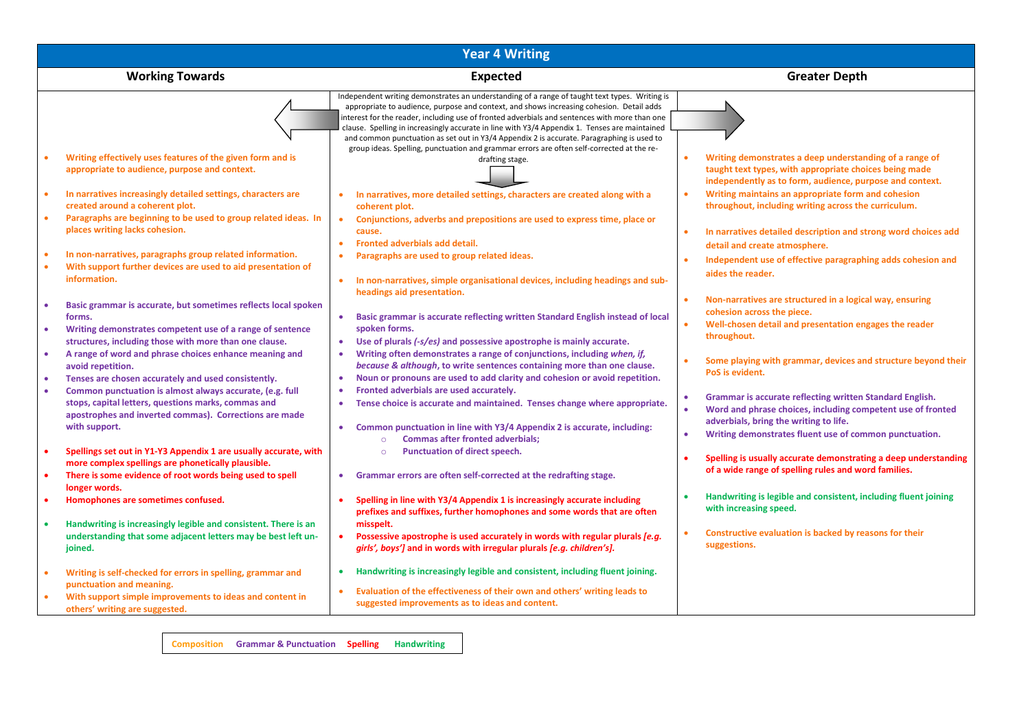| <b>Year 4 Writing</b>                                                                                                                                                                                             |                                                                                                                                                                                                                                                                                                                                                                                                                                                                                          |                                                                                                                                                                                                                                  |  |  |  |  |  |
|-------------------------------------------------------------------------------------------------------------------------------------------------------------------------------------------------------------------|------------------------------------------------------------------------------------------------------------------------------------------------------------------------------------------------------------------------------------------------------------------------------------------------------------------------------------------------------------------------------------------------------------------------------------------------------------------------------------------|----------------------------------------------------------------------------------------------------------------------------------------------------------------------------------------------------------------------------------|--|--|--|--|--|
| <b>Working Towards</b>                                                                                                                                                                                            | <b>Expected</b>                                                                                                                                                                                                                                                                                                                                                                                                                                                                          | <b>Greater Depth</b>                                                                                                                                                                                                             |  |  |  |  |  |
|                                                                                                                                                                                                                   | Independent writing demonstrates an understanding of a range of taught text types. Writing is<br>appropriate to audience, purpose and context, and shows increasing cohesion. Detail adds<br>interest for the reader, including use of fronted adverbials and sentences with more than one<br>clause. Spelling in increasingly accurate in line with Y3/4 Appendix 1. Tenses are maintained<br>and common punctuation as set out in Y3/4 Appendix 2 is accurate. Paragraphing is used to |                                                                                                                                                                                                                                  |  |  |  |  |  |
| Writing effectively uses features of the given form and is<br>appropriate to audience, purpose and context.                                                                                                       | group ideas. Spelling, punctuation and grammar errors are often self-corrected at the re-<br>drafting stage.                                                                                                                                                                                                                                                                                                                                                                             | Writing demonstrates a deep understanding of a range of<br>taught text types, with appropriate choices being made<br>independently as to form, audience, purpose and context.                                                    |  |  |  |  |  |
| In narratives increasingly detailed settings, characters are<br>$\bullet$<br>created around a coherent plot.                                                                                                      | In narratives, more detailed settings, characters are created along with a<br>$\bullet$<br>coherent plot.                                                                                                                                                                                                                                                                                                                                                                                | Writing maintains an appropriate form and cohesion<br>throughout, including writing across the curriculum.                                                                                                                       |  |  |  |  |  |
| Paragraphs are beginning to be used to group related ideas. In<br>$\bullet$<br>places writing lacks cohesion.                                                                                                     | Conjunctions, adverbs and prepositions are used to express time, place or<br>$\bullet$<br>cause.<br>Fronted adverbials add detail.<br>$\bullet$                                                                                                                                                                                                                                                                                                                                          | In narratives detailed description and strong word choices add<br>detail and create atmosphere.                                                                                                                                  |  |  |  |  |  |
| In non-narratives, paragraphs group related information.<br>With support further devices are used to aid presentation of<br>$\bullet$<br>information.                                                             | Paragraphs are used to group related ideas.<br>$\bullet$<br>In non-narratives, simple organisational devices, including headings and sub-<br>$\bullet$                                                                                                                                                                                                                                                                                                                                   | Independent use of effective paragraphing adds cohesion and<br>aides the reader.                                                                                                                                                 |  |  |  |  |  |
| Basic grammar is accurate, but sometimes reflects local spoken<br>٠<br>forms.<br>Writing demonstrates competent use of a range of sentence<br>$\bullet$<br>structures, including those with more than one clause. | headings aid presentation.<br>Basic grammar is accurate reflecting written Standard English instead of local<br>$\bullet$<br>spoken forms.<br>$\bullet$<br>Use of plurals (-s/es) and possessive apostrophe is mainly accurate.                                                                                                                                                                                                                                                          | Non-narratives are structured in a logical way, ensuring<br>cohesion across the piece.<br>Well-chosen detail and presentation engages the reader<br>throughout.                                                                  |  |  |  |  |  |
| A range of word and phrase choices enhance meaning and<br>$\bullet$<br>avoid repetition.<br>Tenses are chosen accurately and used consistently.<br>$\bullet$                                                      | Writing often demonstrates a range of conjunctions, including when, if,<br>$\bullet$<br>because & although, to write sentences containing more than one clause.<br>Noun or pronouns are used to add clarity and cohesion or avoid repetition.<br>$\bullet$                                                                                                                                                                                                                               | Some playing with grammar, devices and structure beyond their<br>PoS is evident.                                                                                                                                                 |  |  |  |  |  |
| Common punctuation is almost always accurate, (e.g. full<br>$\bullet$<br>stops, capital letters, questions marks, commas and<br>apostrophes and inverted commas). Corrections are made<br>with support.           | Fronted adverbials are used accurately.<br>$\bullet$<br>Tense choice is accurate and maintained. Tenses change where appropriate.<br>$\bullet$<br>Common punctuation in line with Y3/4 Appendix 2 is accurate, including:<br>۰                                                                                                                                                                                                                                                           | Grammar is accurate reflecting written Standard English.<br>Word and phrase choices, including competent use of fronted<br>adverbials, bring the writing to life.<br>Writing demonstrates fluent use of common punctuation.<br>٠ |  |  |  |  |  |
| Spellings set out in Y1-Y3 Appendix 1 are usually accurate, with<br>$\bullet$<br>more complex spellings are phonetically plausible.<br>There is some evidence of root words being used to spell<br>$\bullet$      | <b>Commas after fronted adverbials:</b><br>$\circ$<br>Punctuation of direct speech.<br>$\circ$<br>Grammar errors are often self-corrected at the redrafting stage.<br>٠                                                                                                                                                                                                                                                                                                                  | Spelling is usually accurate demonstrating a deep understanding<br>of a wide range of spelling rules and word families.                                                                                                          |  |  |  |  |  |
| longer words.<br>Homophones are sometimes confused.                                                                                                                                                               | Spelling in line with Y3/4 Appendix 1 is increasingly accurate including<br>prefixes and suffixes, further homophones and some words that are often                                                                                                                                                                                                                                                                                                                                      | Handwriting is legible and consistent, including fluent joining<br>with increasing speed.                                                                                                                                        |  |  |  |  |  |
| Handwriting is increasingly legible and consistent. There is an<br>$\bullet$<br>understanding that some adjacent letters may be best left un-<br>joined.                                                          | misspelt.<br>Possessive apostrophe is used accurately in words with regular plurals [e.g.<br>$\bullet$<br>girls', boys'] and in words with irregular plurals [e.g. children's].                                                                                                                                                                                                                                                                                                          | Constructive evaluation is backed by reasons for their<br>suggestions.                                                                                                                                                           |  |  |  |  |  |
| Writing is self-checked for errors in spelling, grammar and<br>$\bullet$<br>punctuation and meaning.                                                                                                              | Handwriting is increasingly legible and consistent, including fluent joining.<br>$\bullet$                                                                                                                                                                                                                                                                                                                                                                                               |                                                                                                                                                                                                                                  |  |  |  |  |  |
| With support simple improvements to ideas and content in<br>others' writing are suggested.                                                                                                                        | Evaluation of the effectiveness of their own and others' writing leads to<br>$\bullet$<br>suggested improvements as to ideas and content.                                                                                                                                                                                                                                                                                                                                                |                                                                                                                                                                                                                                  |  |  |  |  |  |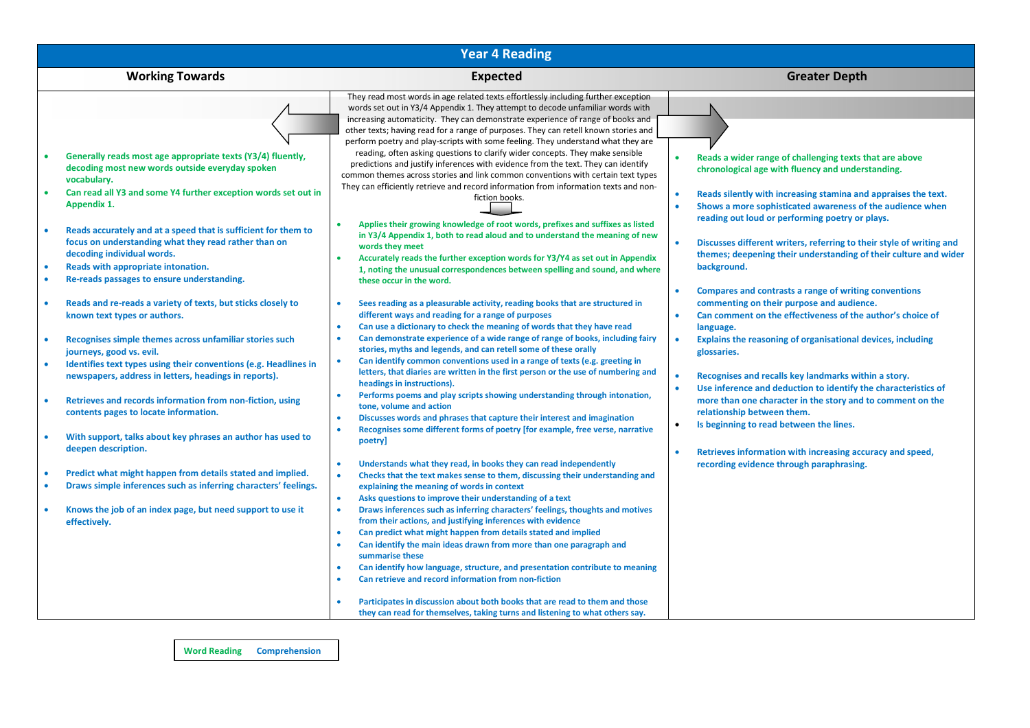| <b>Year 4 Reading</b>                                                                                                                                                                                                                                                                                                                                                                                                                                                                                                                                                                                                                                                                                                                                                                                                                                                                                                                                                                                                                    |                                                                                                                                                                                                                                                                                                                                                                                                                                                                                                                                                                                                                                                                                                                                                                                                                                                                                                                                                                                                                                                                                                                                                                                                                                                                                                                                                                                                                                                                                                                                                                                                                                                                                                                                                                                                                                                                                                                                                                                                                                                                                                                                                                                                                                                                                                                                              |                                                                                                                                                                                                                                                                                                                                                                                                                                                                                                                                                                                                                                                                                                                                                                                                                                                                                                                                                                                                                                                                                                                              |  |  |  |  |  |  |  |
|------------------------------------------------------------------------------------------------------------------------------------------------------------------------------------------------------------------------------------------------------------------------------------------------------------------------------------------------------------------------------------------------------------------------------------------------------------------------------------------------------------------------------------------------------------------------------------------------------------------------------------------------------------------------------------------------------------------------------------------------------------------------------------------------------------------------------------------------------------------------------------------------------------------------------------------------------------------------------------------------------------------------------------------|----------------------------------------------------------------------------------------------------------------------------------------------------------------------------------------------------------------------------------------------------------------------------------------------------------------------------------------------------------------------------------------------------------------------------------------------------------------------------------------------------------------------------------------------------------------------------------------------------------------------------------------------------------------------------------------------------------------------------------------------------------------------------------------------------------------------------------------------------------------------------------------------------------------------------------------------------------------------------------------------------------------------------------------------------------------------------------------------------------------------------------------------------------------------------------------------------------------------------------------------------------------------------------------------------------------------------------------------------------------------------------------------------------------------------------------------------------------------------------------------------------------------------------------------------------------------------------------------------------------------------------------------------------------------------------------------------------------------------------------------------------------------------------------------------------------------------------------------------------------------------------------------------------------------------------------------------------------------------------------------------------------------------------------------------------------------------------------------------------------------------------------------------------------------------------------------------------------------------------------------------------------------------------------------------------------------------------------------|------------------------------------------------------------------------------------------------------------------------------------------------------------------------------------------------------------------------------------------------------------------------------------------------------------------------------------------------------------------------------------------------------------------------------------------------------------------------------------------------------------------------------------------------------------------------------------------------------------------------------------------------------------------------------------------------------------------------------------------------------------------------------------------------------------------------------------------------------------------------------------------------------------------------------------------------------------------------------------------------------------------------------------------------------------------------------------------------------------------------------|--|--|--|--|--|--|--|
| <b>Working Towards</b>                                                                                                                                                                                                                                                                                                                                                                                                                                                                                                                                                                                                                                                                                                                                                                                                                                                                                                                                                                                                                   | <b>Expected</b>                                                                                                                                                                                                                                                                                                                                                                                                                                                                                                                                                                                                                                                                                                                                                                                                                                                                                                                                                                                                                                                                                                                                                                                                                                                                                                                                                                                                                                                                                                                                                                                                                                                                                                                                                                                                                                                                                                                                                                                                                                                                                                                                                                                                                                                                                                                              | <b>Greater Depth</b>                                                                                                                                                                                                                                                                                                                                                                                                                                                                                                                                                                                                                                                                                                                                                                                                                                                                                                                                                                                                                                                                                                         |  |  |  |  |  |  |  |
| Generally reads most age appropriate texts (Y3/4) fluently,<br>decoding most new words outside everyday spoken<br>vocabulary.<br>Can read all Y3 and some Y4 further exception words set out in<br>Appendix 1.<br>Reads accurately and at a speed that is sufficient for them to<br>focus on understanding what they read rather than on<br>decoding individual words.<br>Reads with appropriate intonation.<br>Re-reads passages to ensure understanding.<br>Reads and re-reads a variety of texts, but sticks closely to<br>known text types or authors.<br>Recognises simple themes across unfamiliar stories such<br>journeys, good vs. evil.<br>Identifies text types using their conventions (e.g. Headlines in<br>newspapers, address in letters, headings in reports).<br>Retrieves and records information from non-fiction, using<br>contents pages to locate information.<br>With support, talks about key phrases an author has used to<br>deepen description.<br>Predict what might happen from details stated and implied. | They read most words in age related texts effortlessly including further exception<br>words set out in Y3/4 Appendix 1. They attempt to decode unfamiliar words with<br>increasing automaticity. They can demonstrate experience of range of books and<br>other texts; having read for a range of purposes. They can retell known stories and<br>perform poetry and play-scripts with some feeling. They understand what they are<br>reading, often asking questions to clarify wider concepts. They make sensible<br>predictions and justify inferences with evidence from the text. They can identify<br>common themes across stories and link common conventions with certain text types<br>They can efficiently retrieve and record information from information texts and non-<br>fiction books.<br>Applies their growing knowledge of root words, prefixes and suffixes as listed<br>$\bullet$<br>in Y3/4 Appendix 1, both to read aloud and to understand the meaning of new<br>words they meet<br>Accurately reads the further exception words for Y3/Y4 as set out in Appendix<br>$\bullet$<br>1, noting the unusual correspondences between spelling and sound, and where<br>these occur in the word.<br>Sees reading as a pleasurable activity, reading books that are structured in<br>$\bullet$<br>different ways and reading for a range of purposes<br>Can use a dictionary to check the meaning of words that they have read<br>$\bullet$<br>Can demonstrate experience of a wide range of range of books, including fairy<br>$\bullet$<br>stories, myths and legends, and can retell some of these orally<br>Can identify common conventions used in a range of texts (e.g. greeting in<br>$\bullet$<br>letters, that diaries are written in the first person or the use of numbering and<br>headings in instructions).<br>Performs poems and play scripts showing understanding through intonation,<br>$\bullet$<br>tone, volume and action<br>Discusses words and phrases that capture their interest and imagination<br>$\bullet$<br>Recognises some different forms of poetry [for example, free verse, narrative<br>$\bullet$<br>poetry]<br>Understands what they read, in books they can read independently<br>$\bullet$<br>$\bullet$<br>Checks that the text makes sense to them, discussing their understanding and | Reads a wider range of challenging texts that are above<br>chronological age with fluency and understanding.<br>Reads silently with increasing stamina and appraises the text.<br>Shows a more sophisticated awareness of the audience when<br>reading out loud or performing poetry or plays.<br>Discusses different writers, referring to their style of writing and<br>themes; deepening their understanding of their culture and wider<br>background.<br>Compares and contrasts a range of writing conventions<br>commenting on their purpose and audience.<br>Can comment on the effectiveness of the author's choice of<br>language.<br>Explains the reasoning of organisational devices, including<br>$\bullet$<br>glossaries.<br>Recognises and recalls key landmarks within a story.<br>Use inference and deduction to identify the characteristics of<br>more than one character in the story and to comment on the<br>relationship between them.<br>Is beginning to read between the lines.<br>$\bullet$<br>Retrieves information with increasing accuracy and speed,<br>recording evidence through paraphrasing. |  |  |  |  |  |  |  |
| Draws simple inferences such as inferring characters' feelings.<br>Knows the job of an index page, but need support to use it<br>effectively.                                                                                                                                                                                                                                                                                                                                                                                                                                                                                                                                                                                                                                                                                                                                                                                                                                                                                            | explaining the meaning of words in context<br>Asks questions to improve their understanding of a text<br>$\bullet$<br>$\bullet$<br>Draws inferences such as inferring characters' feelings, thoughts and motives<br>from their actions, and justifying inferences with evidence<br>Can predict what might happen from details stated and implied<br>$\bullet$                                                                                                                                                                                                                                                                                                                                                                                                                                                                                                                                                                                                                                                                                                                                                                                                                                                                                                                                                                                                                                                                                                                                                                                                                                                                                                                                                                                                                                                                                                                                                                                                                                                                                                                                                                                                                                                                                                                                                                                |                                                                                                                                                                                                                                                                                                                                                                                                                                                                                                                                                                                                                                                                                                                                                                                                                                                                                                                                                                                                                                                                                                                              |  |  |  |  |  |  |  |
|                                                                                                                                                                                                                                                                                                                                                                                                                                                                                                                                                                                                                                                                                                                                                                                                                                                                                                                                                                                                                                          | Can identify the main ideas drawn from more than one paragraph and<br>$\bullet$<br>summarise these<br>Can identify how language, structure, and presentation contribute to meaning<br>$\bullet$<br>Can retrieve and record information from non-fiction<br>$\bullet$<br>Participates in discussion about both books that are read to them and those<br>$\bullet$<br>they can read for themselves, taking turns and listening to what others say.                                                                                                                                                                                                                                                                                                                                                                                                                                                                                                                                                                                                                                                                                                                                                                                                                                                                                                                                                                                                                                                                                                                                                                                                                                                                                                                                                                                                                                                                                                                                                                                                                                                                                                                                                                                                                                                                                             |                                                                                                                                                                                                                                                                                                                                                                                                                                                                                                                                                                                                                                                                                                                                                                                                                                                                                                                                                                                                                                                                                                                              |  |  |  |  |  |  |  |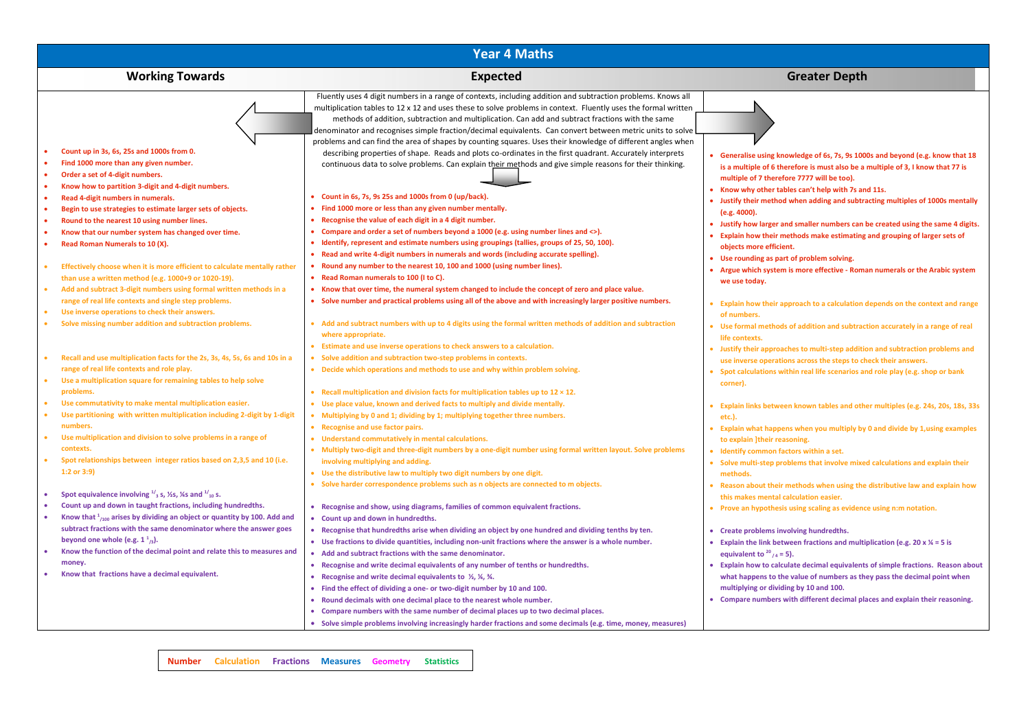| <b>Year 4 Maths</b>                                                                                                                                                                                                                                                                                                                                                                                                                                                                                                                 |                                                                                                                                                                                                                                                                                                                                                                                                                                                                                                                                                                                                                                                                                                                                                                                                                                                                                                                                                  |                                                                                                                                                                                                                                                                                                                                                                                                                                                                                                                                                                  |  |  |  |  |  |  |
|-------------------------------------------------------------------------------------------------------------------------------------------------------------------------------------------------------------------------------------------------------------------------------------------------------------------------------------------------------------------------------------------------------------------------------------------------------------------------------------------------------------------------------------|--------------------------------------------------------------------------------------------------------------------------------------------------------------------------------------------------------------------------------------------------------------------------------------------------------------------------------------------------------------------------------------------------------------------------------------------------------------------------------------------------------------------------------------------------------------------------------------------------------------------------------------------------------------------------------------------------------------------------------------------------------------------------------------------------------------------------------------------------------------------------------------------------------------------------------------------------|------------------------------------------------------------------------------------------------------------------------------------------------------------------------------------------------------------------------------------------------------------------------------------------------------------------------------------------------------------------------------------------------------------------------------------------------------------------------------------------------------------------------------------------------------------------|--|--|--|--|--|--|
| <b>Working Towards</b>                                                                                                                                                                                                                                                                                                                                                                                                                                                                                                              | <b>Expected</b>                                                                                                                                                                                                                                                                                                                                                                                                                                                                                                                                                                                                                                                                                                                                                                                                                                                                                                                                  | <b>Greater Depth</b>                                                                                                                                                                                                                                                                                                                                                                                                                                                                                                                                             |  |  |  |  |  |  |
|                                                                                                                                                                                                                                                                                                                                                                                                                                                                                                                                     | Fluently uses 4 digit numbers in a range of contexts, including addition and subtraction problems. Knows all<br>multiplication tables to 12 x 12 and uses these to solve problems in context. Fluently uses the formal written<br>methods of addition, subtraction and multiplication. Can add and subtract fractions with the same<br>denominator and recognises simple fraction/decimal equivalents. Can convert between metric units to solve<br>problems and can find the area of shapes by counting squares. Uses their knowledge of different angles when                                                                                                                                                                                                                                                                                                                                                                                  |                                                                                                                                                                                                                                                                                                                                                                                                                                                                                                                                                                  |  |  |  |  |  |  |
| Count up in 3s, 6s, 25s and 1000s from 0.<br>Find 1000 more than any given number.<br>Order a set of 4-digit numbers.<br>$\bullet$<br>Know how to partition 3-digit and 4-digit numbers.<br>$\bullet$<br>Read 4-digit numbers in numerals.<br>$\bullet$<br>Begin to use strategies to estimate larger sets of objects.<br>$\bullet$<br>Round to the nearest 10 using number lines.<br>Know that our number system has changed over time.<br>Read Roman Numerals to 10 (X).<br>$\bullet$                                             | describing properties of shape. Reads and plots co-ordinates in the first quadrant. Accurately interprets<br>continuous data to solve problems. Can explain their methods and give simple reasons for their thinking.<br>• Count in 6s, 7s, 9s 25s and 1000s from 0 (up/back).<br>Find 1000 more or less than any given number mentally.<br>• Recognise the value of each digit in a 4 digit number.<br>• Compare and order a set of numbers beyond a 1000 (e.g. using number lines and <>).<br>• Identify, represent and estimate numbers using groupings (tallies, groups of 25, 50, 100).                                                                                                                                                                                                                                                                                                                                                     | Generalise using knowledge of 6s, 7s, 9s 1000s and beyond (e.g. know that 18<br>is a multiple of 6 therefore is must also be a multiple of 3, I know that 77 is<br>multiple of 7 therefore 7777 will be too).<br>• Know why other tables can't help with 7s and 11s.<br>Justify their method when adding and subtracting multiples of 1000s mentally<br>(e.g. 4000).<br>Justify how larger and smaller numbers can be created using the same 4 digits.<br>Explain how their methods make estimating and grouping of larger sets of<br>objects more efficient.    |  |  |  |  |  |  |
| Effectively choose when it is more efficient to calculate mentally rather<br>than use a written method (e.g. 1000+9 or 1020-19).<br>Add and subtract 3-digit numbers using formal written methods in a<br>range of real life contexts and single step problems.<br>Use inverse operations to check their answers.<br>Solve missing number addition and subtraction problems.<br>$\bullet$                                                                                                                                           | • Read and write 4-digit numbers in numerals and words (including accurate spelling).<br>• Round any number to the nearest 10, 100 and 1000 (using number lines).<br>• Read Roman numerals to 100 (I to C).<br>• Know that over time, the numeral system changed to include the concept of zero and place value.<br>• Solve number and practical problems using all of the above and with increasingly larger positive numbers.<br>• Add and subtract numbers with up to 4 digits using the formal written methods of addition and subtraction<br>where appropriate.                                                                                                                                                                                                                                                                                                                                                                             | Use rounding as part of problem solving.<br>Argue which system is more effective - Roman numerals or the Arabic system<br>we use today.<br>Explain how their approach to a calculation depends on the context and range<br>of numbers.<br>Use formal methods of addition and subtraction accurately in a range of real<br>life contexts.                                                                                                                                                                                                                         |  |  |  |  |  |  |
| Recall and use multiplication facts for the 2s, 3s, 4s, 5s, 6s and 10s in a<br>range of real life contexts and role play.<br>Use a multiplication square for remaining tables to help solve<br>problems.                                                                                                                                                                                                                                                                                                                            | • Estimate and use inverse operations to check answers to a calculation.<br>• Solve addition and subtraction two-step problems in contexts.<br>• Decide which operations and methods to use and why within problem solving.<br>• Recall multiplication and division facts for multiplication tables up to $12 \times 12$ .                                                                                                                                                                                                                                                                                                                                                                                                                                                                                                                                                                                                                       | <b>Iustify their approaches to multi-step addition and subtraction problems and</b><br>use inverse operations across the steps to check their answers.<br>Spot calculations within real life scenarios and role play (e.g. shop or bank<br>corner).                                                                                                                                                                                                                                                                                                              |  |  |  |  |  |  |
| Use commutativity to make mental multiplication easier.<br>Use partitioning with written multiplication including 2-digit by 1-digit<br>$\bullet$<br>numbers.<br>Use multiplication and division to solve problems in a range of<br>contexts.<br>Spot relationships between integer ratios based on 2,3,5 and 10 (i.e.<br>1:2 or 3:9)                                                                                                                                                                                               | . Use place value, known and derived facts to multiply and divide mentally.<br>• Multiplying by 0 and 1; dividing by 1; multiplying together three numbers.<br>• Recognise and use factor pairs.<br>• Understand commutatively in mental calculations.<br>• Multiply two-digit and three-digit numbers by a one-digit number using formal written layout. Solve problems<br>involving multiplying and adding.<br>. Use the distributive law to multiply two digit numbers by one digit.<br>• Solve harder correspondence problems such as n objects are connected to m objects.                                                                                                                                                                                                                                                                                                                                                                  | Explain links between known tables and other multiples (e.g. 24s, 20s, 18s, 33s<br>etc.).<br>Explain what happens when you multiply by 0 and divide by 1, using examples<br>to explain ]their reasoning.<br>Identify common factors within a set.<br>• Solve multi-step problems that involve mixed calculations and explain their<br>methods.<br>Reason about their methods when using the distributive law and explain how                                                                                                                                     |  |  |  |  |  |  |
| Spot equivalence involving $\frac{1}{3}$ s, $\frac{1}{2}$ s, $\frac{1}{4}$ s and $\frac{1}{10}$ s.<br>Count up and down in taught fractions, including hundredths.<br>Know that $\frac{1}{1000}$ arises by dividing an object or quantity by 100. Add and<br>$\bullet$<br>subtract fractions with the same denominator where the answer goes<br>beyond one whole (e.g. $1^2$ <sub>/3</sub> ).<br>Know the function of the decimal point and relate this to measures and<br>money.<br>Know that fractions have a decimal equivalent. | • Recognise and show, using diagrams, families of common equivalent fractions.<br>• Count up and down in hundredths.<br>• Recognise that hundredths arise when dividing an object by one hundred and dividing tenths by ten.<br>• Use fractions to divide quantities, including non-unit fractions where the answer is a whole number.<br>• Add and subtract fractions with the same denominator.<br>• Recognise and write decimal equivalents of any number of tenths or hundredths.<br>• Recognise and write decimal equivalents to $\frac{1}{2}$ , $\frac{1}{4}$ , $\frac{3}{4}$ .<br>• Find the effect of dividing a one- or two-digit number by 10 and 100.<br>• Round decimals with one decimal place to the nearest whole number.<br>• Compare numbers with the same number of decimal places up to two decimal places.<br>• Solve simple problems involving increasingly harder fractions and some decimals (e.g. time, money, measures) | this makes mental calculation easier.<br>Prove an hypothesis using scaling as evidence using n:m notation.<br>Create problems involving hundredths.<br>• Explain the link between fractions and multiplication (e.g. 20 $x$ % = 5 is<br>equivalent to $20_{14} = 5$ ).<br>• Explain how to calculate decimal equivalents of simple fractions. Reason about<br>what happens to the value of numbers as they pass the decimal point when<br>multiplying or dividing by 10 and 100.<br>• Compare numbers with different decimal places and explain their reasoning. |  |  |  |  |  |  |